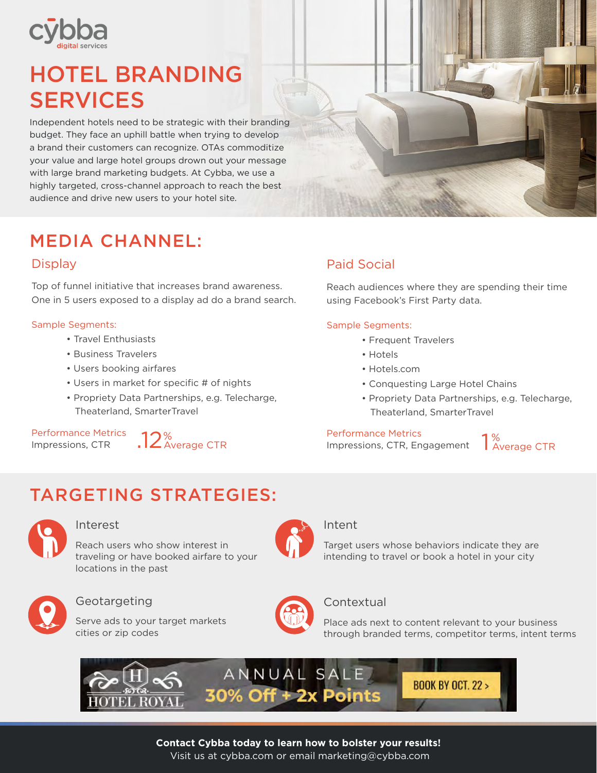

# HOTEL BRANDING SERVICES

Independent hotels need to be strategic with their branding budget. They face an uphill battle when trying to develop a brand their customers can recognize. OTAs commoditize your value and large hotel groups drown out your message with large brand marketing budgets. At Cybba, we use a highly targeted, cross-channel approach to reach the best audience and drive new users to your hotel site.

# MEDIA CHANNEL:

### **Display**

Top of funnel initiative that increases brand awareness. One in 5 users exposed to a display ad do a brand search.

#### Sample Segments:

- Travel Enthusiasts
- Business Travelers
- Users booking airfares
- Users in market for specific # of nights
- Propriety Data Partnerships, e.g. Telecharge, Theaterland, SmarterTravel

Performance Metrics Impressions, CTR



### Paid Social

Reach audiences where they are spending their time using Facebook's First Party data.

#### Sample Segments:

- Frequent Travelers
- Hotels
- Hotels.com
- Conquesting Large Hotel Chains
- Propriety Data Partnerships, e.g. Telecharge, Theaterland, SmarterTravel

#### Performance Metrics

Impressions, CTR, Engagement

1%<br>Average CTR

# TARGETING STRATEGIES:



#### Interest

Reach users who show interest in traveling or have booked airfare to your locations in the past



### Geotargeting

Serve ads to your target markets cities or zip codes



### Intent

Target users whose behaviors indicate they are intending to travel or book a hotel in your city



#### **Contextual**

Place ads next to content relevant to your business through branded terms, competitor terms, intent terms



**Contact Cybba today to learn how to bolster your results!** 

Visit us at cybba.com or email marketing@cybba.com